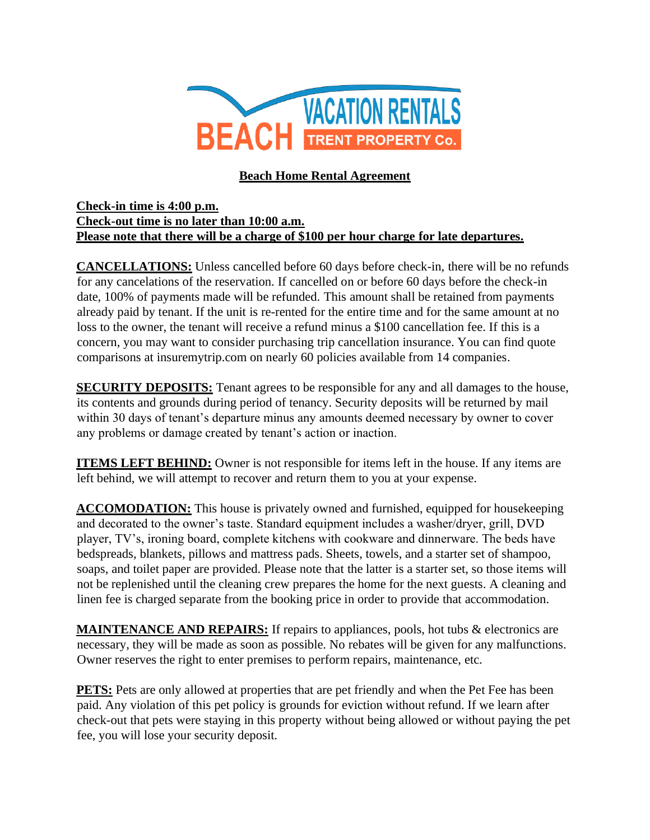

# **Beach Home Rental Agreement**

#### **Check-in time is 4:00 p.m. Check-out time is no later than 10:00 a.m. Please note that there will be a charge of \$100 per hour charge for late departures.**

**CANCELLATIONS:** Unless cancelled before 60 days before check-in, there will be no refunds for any cancelations of the reservation. If cancelled on or before 60 days before the check-in date, 100% of payments made will be refunded. This amount shall be retained from payments already paid by tenant. If the unit is re-rented for the entire time and for the same amount at no loss to the owner, the tenant will receive a refund minus a \$100 cancellation fee. If this is a concern, you may want to consider purchasing trip cancellation insurance. You can find quote comparisons at insuremytrip.com on nearly 60 policies available from 14 companies.

**SECURITY DEPOSITS:** Tenant agrees to be responsible for any and all damages to the house, its contents and grounds during period of tenancy. Security deposits will be returned by mail within 30 days of tenant's departure minus any amounts deemed necessary by owner to cover any problems or damage created by tenant's action or inaction.

**ITEMS LEFT BEHIND:** Owner is not responsible for items left in the house. If any items are left behind, we will attempt to recover and return them to you at your expense.

**ACCOMODATION:** This house is privately owned and furnished, equipped for housekeeping and decorated to the owner's taste. Standard equipment includes a washer/dryer, grill, DVD player, TV's, ironing board, complete kitchens with cookware and dinnerware. The beds have bedspreads, blankets, pillows and mattress pads. Sheets, towels, and a starter set of shampoo, soaps, and toilet paper are provided. Please note that the latter is a starter set, so those items will not be replenished until the cleaning crew prepares the home for the next guests. A cleaning and linen fee is charged separate from the booking price in order to provide that accommodation.

**MAINTENANCE AND REPAIRS:** If repairs to appliances, pools, hot tubs & electronics are necessary, they will be made as soon as possible. No rebates will be given for any malfunctions. Owner reserves the right to enter premises to perform repairs, maintenance, etc.

**PETS:** Pets are only allowed at properties that are pet friendly and when the Pet Fee has been paid. Any violation of this pet policy is grounds for eviction without refund. If we learn after check-out that pets were staying in this property without being allowed or without paying the pet fee, you will lose your security deposit.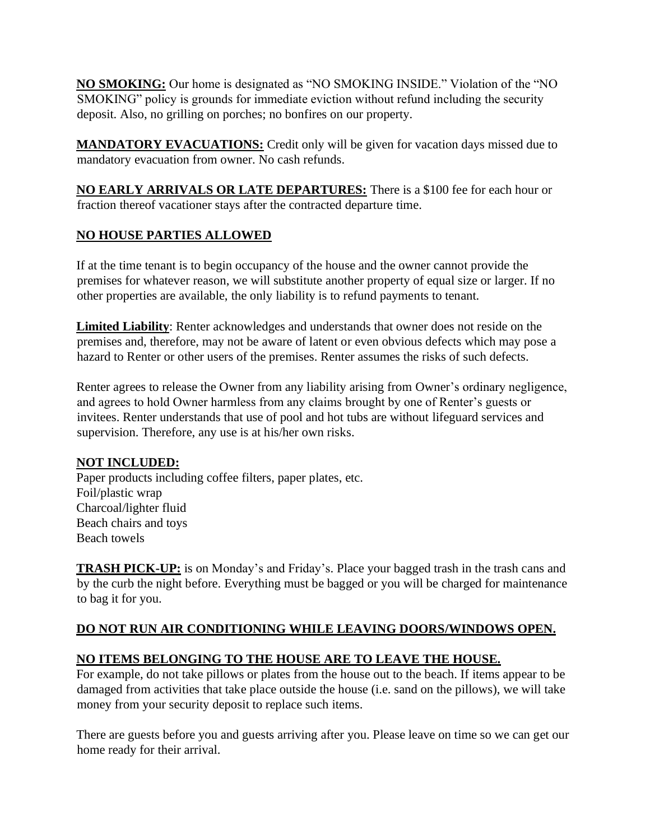**NO SMOKING:** Our home is designated as "NO SMOKING INSIDE." Violation of the "NO SMOKING" policy is grounds for immediate eviction without refund including the security deposit. Also, no grilling on porches; no bonfires on our property.

**MANDATORY EVACUATIONS:** Credit only will be given for vacation days missed due to mandatory evacuation from owner. No cash refunds.

**NO EARLY ARRIVALS OR LATE DEPARTURES:** There is a \$100 fee for each hour or fraction thereof vacationer stays after the contracted departure time.

## **NO HOUSE PARTIES ALLOWED**

If at the time tenant is to begin occupancy of the house and the owner cannot provide the premises for whatever reason, we will substitute another property of equal size or larger. If no other properties are available, the only liability is to refund payments to tenant.

**Limited Liability**: Renter acknowledges and understands that owner does not reside on the premises and, therefore, may not be aware of latent or even obvious defects which may pose a hazard to Renter or other users of the premises. Renter assumes the risks of such defects.

Renter agrees to release the Owner from any liability arising from Owner's ordinary negligence, and agrees to hold Owner harmless from any claims brought by one of Renter's guests or invitees. Renter understands that use of pool and hot tubs are without lifeguard services and supervision. Therefore, any use is at his/her own risks.

## **NOT INCLUDED:**

Paper products including coffee filters, paper plates, etc. Foil/plastic wrap Charcoal/lighter fluid Beach chairs and toys Beach towels

**TRASH PICK-UP:** is on Monday's and Friday's. Place your bagged trash in the trash cans and by the curb the night before. Everything must be bagged or you will be charged for maintenance to bag it for you.

## **DO NOT RUN AIR CONDITIONING WHILE LEAVING DOORS/WINDOWS OPEN.**

## **NO ITEMS BELONGING TO THE HOUSE ARE TO LEAVE THE HOUSE.**

For example, do not take pillows or plates from the house out to the beach. If items appear to be damaged from activities that take place outside the house (i.e. sand on the pillows), we will take money from your security deposit to replace such items.

There are guests before you and guests arriving after you. Please leave on time so we can get our home ready for their arrival.